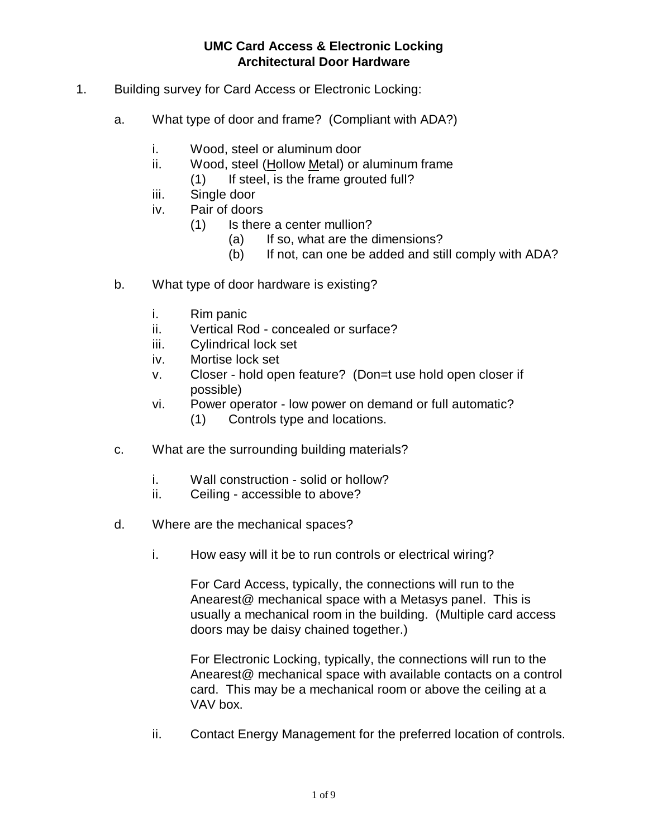- 1. Building survey for Card Access or Electronic Locking:
	- a. What type of door and frame? (Compliant with ADA?)
		- i. Wood, steel or aluminum door
		- ii. Wood, steel (Hollow Metal) or aluminum frame
			- (1) If steel, is the frame grouted full?
		- iii. Single door
		- iv. Pair of doors
			- (1) Is there a center mullion?
				- (a) If so, what are the dimensions?
				- (b) If not, can one be added and still comply with ADA?
	- b. What type of door hardware is existing?
		- i. Rim panic
		- ii. Vertical Rod concealed or surface?
		- iii. Cylindrical lock set
		- iv. Mortise lock set
		- v. Closer hold open feature? (Don=t use hold open closer if possible)
		- vi. Power operator low power on demand or full automatic? (1) Controls type and locations.
	- c. What are the surrounding building materials?
		- i. Wall construction solid or hollow?
		- ii. Ceiling accessible to above?
	- d. Where are the mechanical spaces?
		- i. How easy will it be to run controls or electrical wiring?

For Card Access, typically, the connections will run to the Anearest@ mechanical space with a Metasys panel. This is usually a mechanical room in the building. (Multiple card access doors may be daisy chained together.)

For Electronic Locking, typically, the connections will run to the Anearest@ mechanical space with available contacts on a control card. This may be a mechanical room or above the ceiling at a VAV box.

ii. Contact Energy Management for the preferred location of controls.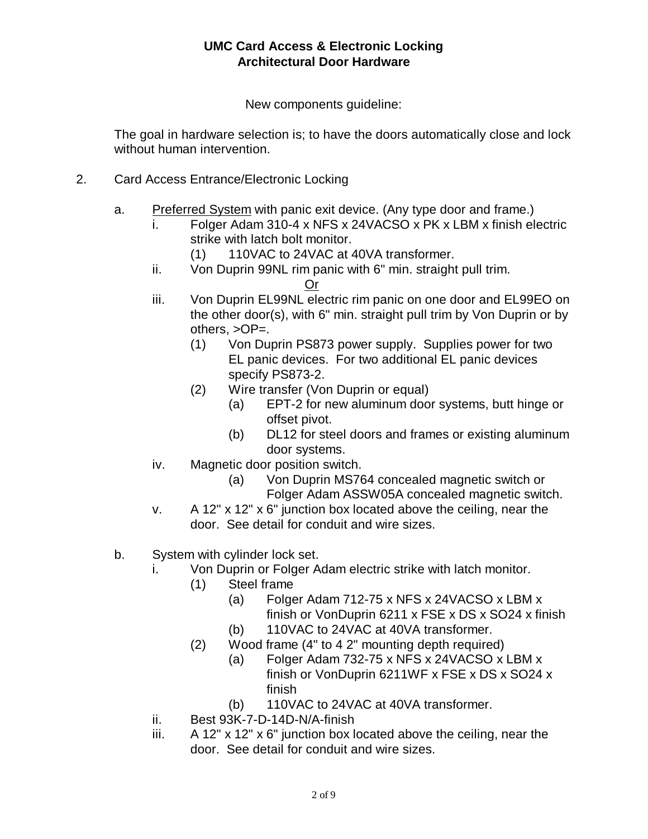New components guideline:

The goal in hardware selection is; to have the doors automatically close and lock without human intervention.

- 2. Card Access Entrance/Electronic Locking
	- a. Preferred System with panic exit device. (Any type door and frame.)
		- i. Folger Adam 310-4 x NFS x 24VACSO x PK x LBM x finish electric strike with latch bolt monitor.
			- (1) 110VAC to 24VAC at 40VA transformer.
		- ii. Von Duprin 99NL rim panic with 6" min. straight pull trim.
			- Or
		- iii. Von Duprin EL99NL electric rim panic on one door and EL99EO on the other door(s), with 6" min. straight pull trim by Von Duprin or by others, >OP=.
			- (1) Von Duprin PS873 power supply. Supplies power for two EL panic devices. For two additional EL panic devices specify PS873-2.
			- (2) Wire transfer (Von Duprin or equal)
				- (a) EPT-2 for new aluminum door systems, butt hinge or offset pivot.
				- (b) DL12 for steel doors and frames or existing aluminum door systems.
		- iv. Magnetic door position switch.
			- (a) Von Duprin MS764 concealed magnetic switch or Folger Adam ASSW05A concealed magnetic switch.
		- v. A 12" x 12" x 6" junction box located above the ceiling, near the door. See detail for conduit and wire sizes.
	- b. System with cylinder lock set.
		- i. Von Duprin or Folger Adam electric strike with latch monitor.
			- (1) Steel frame
				- (a) Folger Adam 712-75 x NFS x 24VACSO x LBM x finish or VonDuprin 6211 x FSE x DS x SO24 x finish (b) 110VAC to 24VAC at 40VA transformer.
			- (2) Wood frame (4" to 4 2" mounting depth required)
				- (a) Folger Adam 732-75 x NFS x 24VACSO x LBM x
					- finish or VonDuprin 6211WF x FSE x DS x SO24 x finish
					- (b) 110VAC to 24VAC at 40VA transformer.
		- ii. Best 93K-7-D-14D-N/A-finish
		- iii. A 12" x 12" x 6" junction box located above the ceiling, near the door. See detail for conduit and wire sizes.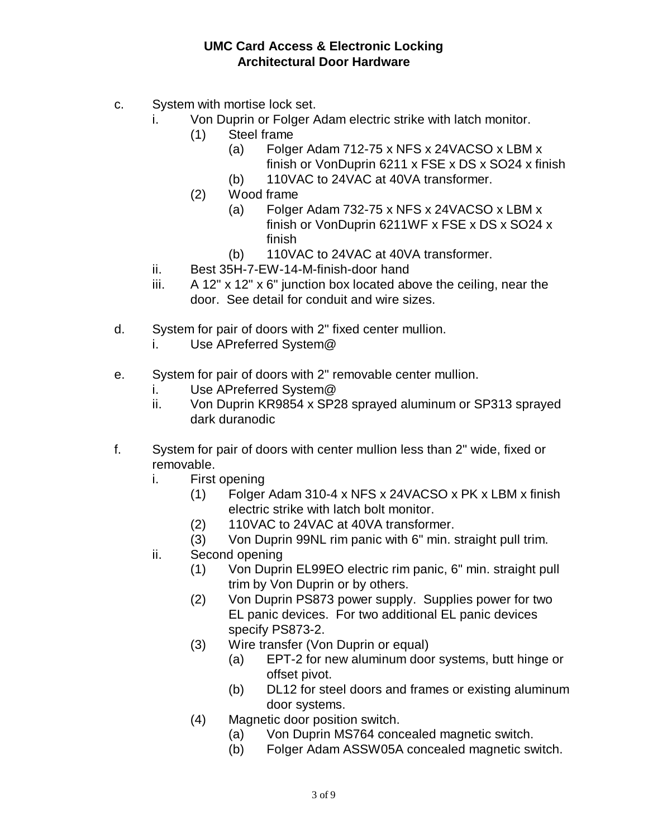- c. System with mortise lock set.
	- i. Von Duprin or Folger Adam electric strike with latch monitor.
		- (1) Steel frame
			- (a) Folger Adam 712-75 x NFS x 24VACSO x LBM x finish or VonDuprin 6211 x FSE x DS x SO24 x finish
			- (b) 110VAC to 24VAC at 40VA transformer.
		- (2) Wood frame
			- (a) Folger Adam 732-75 x NFS x 24VACSO x LBM x finish or VonDuprin 6211WF x FSE x DS x SO24 x finish
			- (b) 110VAC to 24VAC at 40VA transformer.
	- ii. Best 35H-7-EW-14-M-finish-door hand
	- iii. A 12" x 12" x 6" junction box located above the ceiling, near the door. See detail for conduit and wire sizes.
- d. System for pair of doors with 2" fixed center mullion.
	- i. Use APreferred System@
- e. System for pair of doors with 2" removable center mullion.
	- i. Use APreferred System@
	- ii. Von Duprin KR9854 x SP28 sprayed aluminum or SP313 sprayed dark duranodic
- f. System for pair of doors with center mullion less than 2" wide, fixed or removable.
	- i. First opening
		- (1) Folger Adam 310-4 x NFS x 24VACSO x PK x LBM x finish electric strike with latch bolt monitor.
		- (2) 110VAC to 24VAC at 40VA transformer.
		- (3) Von Duprin 99NL rim panic with 6" min. straight pull trim.
	- ii. Second opening
		- (1) Von Duprin EL99EO electric rim panic, 6" min. straight pull trim by Von Duprin or by others.
		- (2) Von Duprin PS873 power supply. Supplies power for two EL panic devices. For two additional EL panic devices specify PS873-2.
		- (3) Wire transfer (Von Duprin or equal)
			- (a) EPT-2 for new aluminum door systems, butt hinge or offset pivot.
			- (b) DL12 for steel doors and frames or existing aluminum door systems.
		- (4) Magnetic door position switch.
			- (a) Von Duprin MS764 concealed magnetic switch.
			- (b) Folger Adam ASSW05A concealed magnetic switch.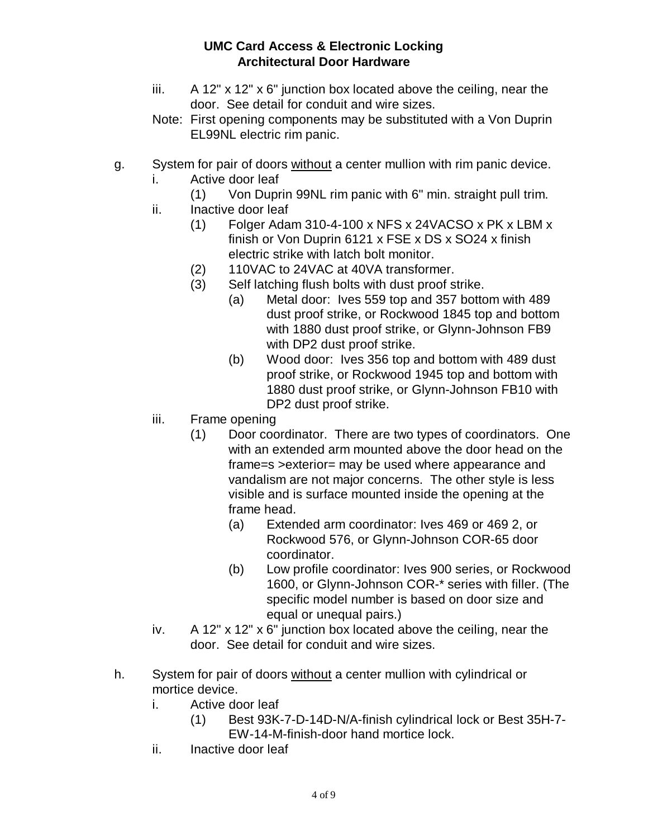- iii. A 12" x 12" x 6" junction box located above the ceiling, near the door. See detail for conduit and wire sizes.
- Note: First opening components may be substituted with a Von Duprin EL99NL electric rim panic.
- g. System for pair of doors without a center mullion with rim panic device.
	- i. Active door leaf
		- (1) Von Duprin 99NL rim panic with 6" min. straight pull trim.
	- ii. Inactive door leaf
		- (1) Folger Adam 310-4-100 x NFS x 24VACSO x PK x LBM x finish or Von Duprin 6121 x FSE x DS x SO24 x finish electric strike with latch bolt monitor.
		- (2) 110VAC to 24VAC at 40VA transformer.
		- (3) Self latching flush bolts with dust proof strike.
			- (a) Metal door: Ives 559 top and 357 bottom with 489 dust proof strike, or Rockwood 1845 top and bottom with 1880 dust proof strike, or Glynn-Johnson FB9 with DP2 dust proof strike.
			- (b) Wood door: Ives 356 top and bottom with 489 dust proof strike, or Rockwood 1945 top and bottom with 1880 dust proof strike, or Glynn-Johnson FB10 with DP2 dust proof strike.
	- iii. Frame opening
		- (1) Door coordinator. There are two types of coordinators. One with an extended arm mounted above the door head on the frame=s >exterior= may be used where appearance and vandalism are not major concerns. The other style is less visible and is surface mounted inside the opening at the frame head.
			- (a) Extended arm coordinator: Ives 469 or 469 2, or Rockwood 576, or Glynn-Johnson COR-65 door coordinator.
			- (b) Low profile coordinator: Ives 900 series, or Rockwood 1600, or Glynn-Johnson COR-\* series with filler. (The specific model number is based on door size and equal or unequal pairs.)
	- iv. A 12" x 12" x 6" junction box located above the ceiling, near the door. See detail for conduit and wire sizes.
- h. System for pair of doors without a center mullion with cylindrical or mortice device.
	- i. Active door leaf
		- (1) Best 93K-7-D-14D-N/A-finish cylindrical lock or Best 35H-7- EW-14-M-finish-door hand mortice lock.
	- ii. Inactive door leaf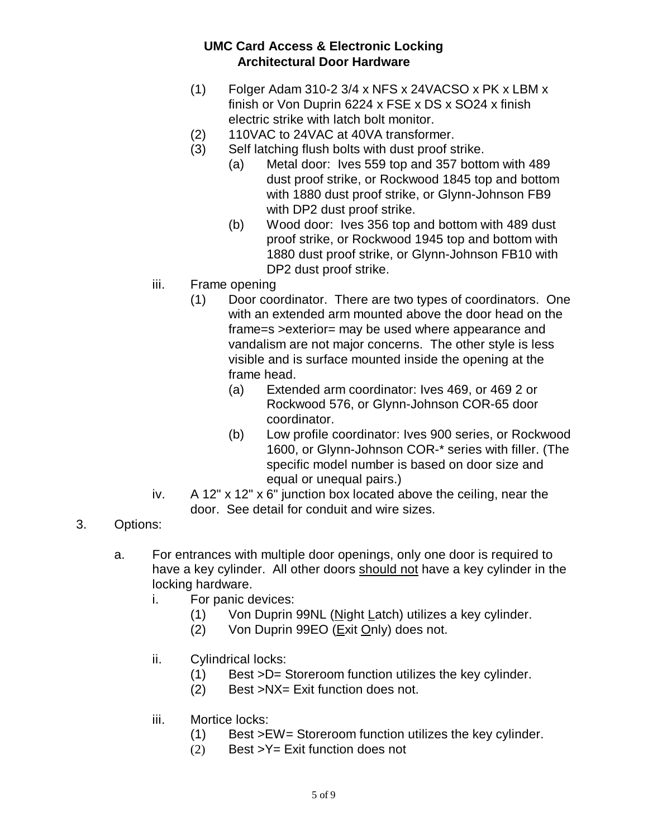- (1) Folger Adam 310-2 3/4 x NFS x 24VACSO x PK x LBM x finish or Von Duprin 6224 x FSE x DS x SO24 x finish electric strike with latch bolt monitor.
- (2) 110VAC to 24VAC at 40VA transformer.
- (3) Self latching flush bolts with dust proof strike.
	- (a) Metal door: Ives 559 top and 357 bottom with 489 dust proof strike, or Rockwood 1845 top and bottom with 1880 dust proof strike, or Glynn-Johnson FB9 with DP2 dust proof strike.
	- (b) Wood door: Ives 356 top and bottom with 489 dust proof strike, or Rockwood 1945 top and bottom with 1880 dust proof strike, or Glynn-Johnson FB10 with DP2 dust proof strike.
- iii. Frame opening
	- (1) Door coordinator. There are two types of coordinators. One with an extended arm mounted above the door head on the frame=s >exterior= may be used where appearance and vandalism are not major concerns. The other style is less visible and is surface mounted inside the opening at the frame head.
		- (a) Extended arm coordinator: Ives 469, or 469 2 or Rockwood 576, or Glynn-Johnson COR-65 door coordinator.
		- (b) Low profile coordinator: Ives 900 series, or Rockwood 1600, or Glynn-Johnson COR-\* series with filler. (The specific model number is based on door size and equal or unequal pairs.)
- iv. A 12" x 12" x 6" junction box located above the ceiling, near the door. See detail for conduit and wire sizes.
- 3. Options:
	- a. For entrances with multiple door openings, only one door is required to have a key cylinder. All other doors should not have a key cylinder in the locking hardware.
		- i. For panic devices:
			- (1) Von Duprin 99NL (Night Latch) utilizes a key cylinder.
			- (2) Von Duprin 99EO (Exit Only) does not.
		- ii. Cylindrical locks:
			- (1) Best >D= Storeroom function utilizes the key cylinder.
			- (2) Best >NX= Exit function does not.
		- iii. Mortice locks:
			- (1) Best >EW= Storeroom function utilizes the key cylinder.
			- (2) Best  $>Y$ = Exit function does not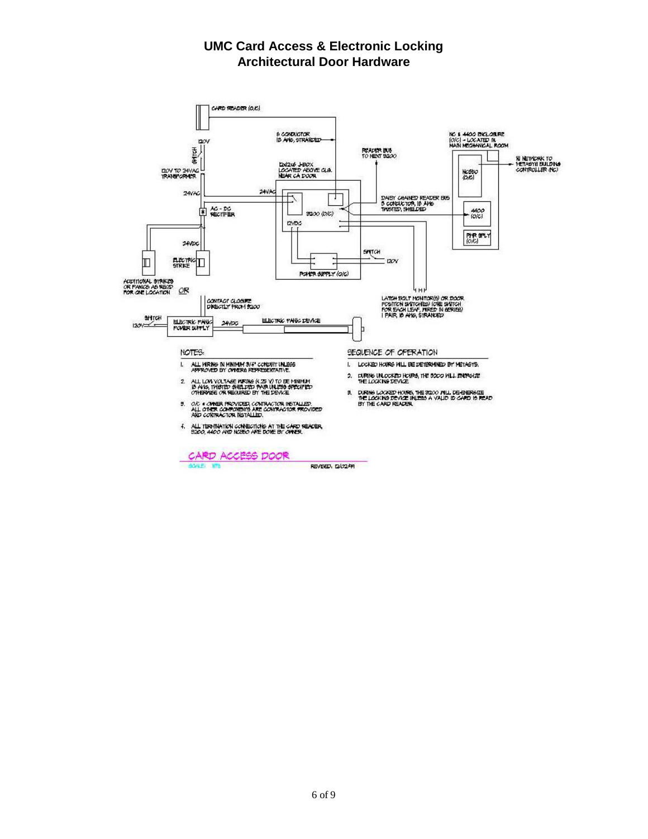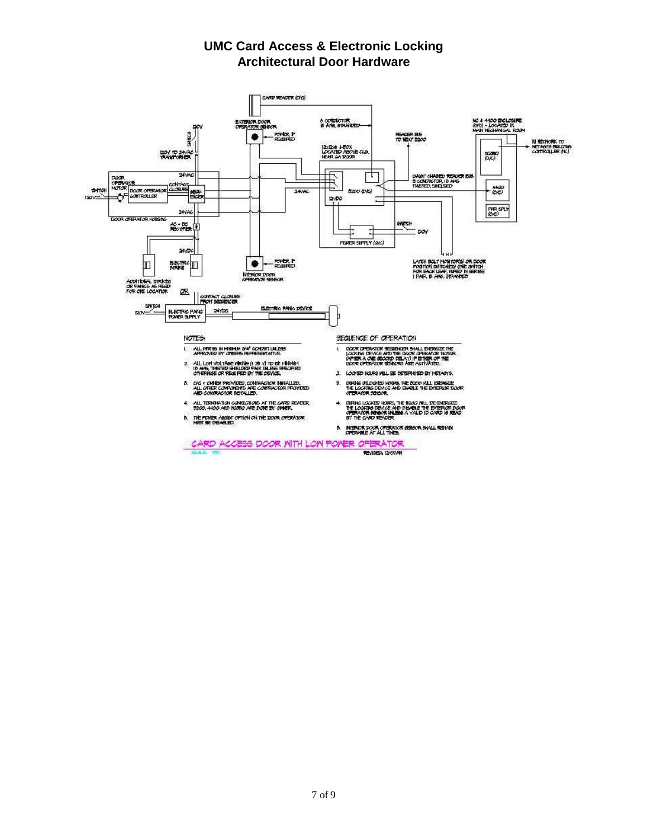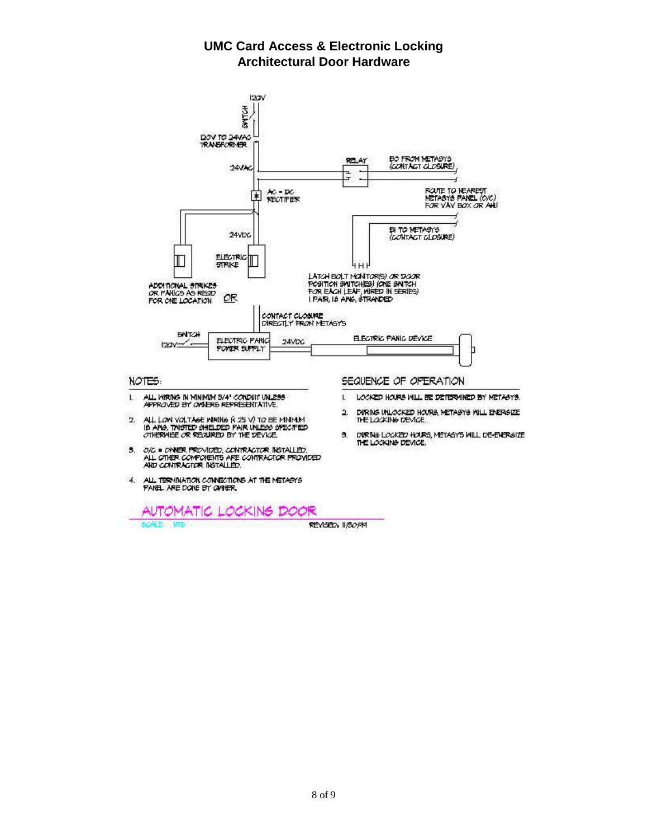**UMC Card Access & Electronic Locking Architectural Door Hardware**